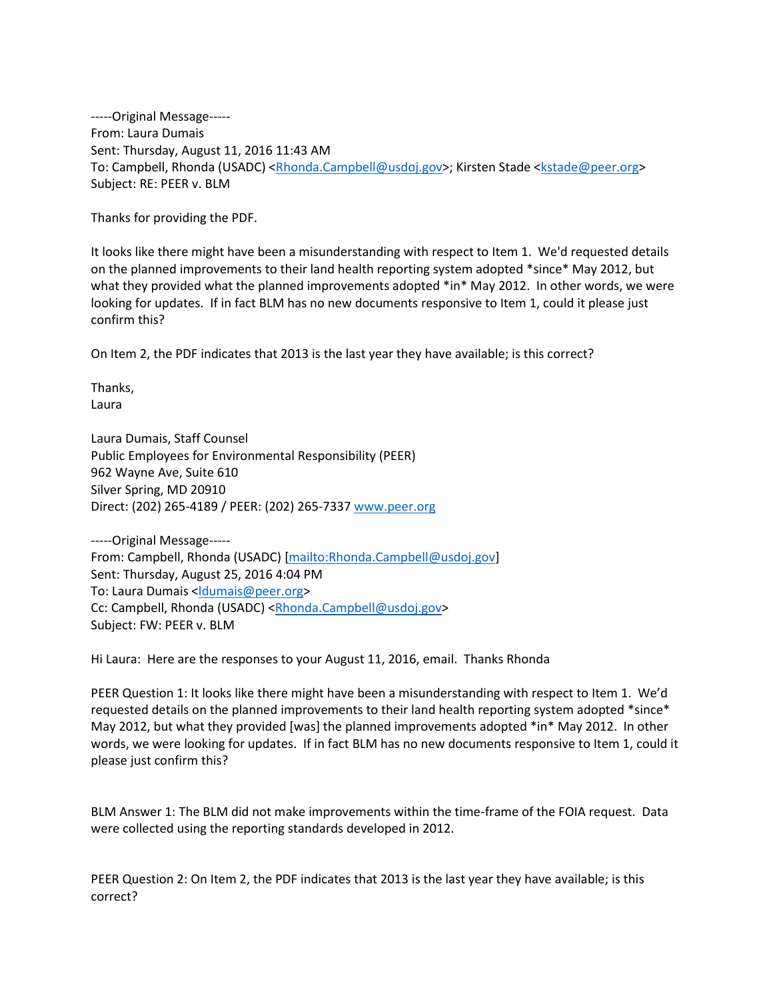-----Original Message----- From: Laura Dumais Sent: Thursday, August 11, 2016 11:43 AM To: Campbell, Rhonda (USADC) [<Rhonda.Campbell@usdoj.gov>](mailto:Rhonda.Campbell@usdoj.gov); Kirsten Stade [<kstade@peer.org>](mailto:kstade@peer.org) Subject: RE: PEER v. BLM

Thanks for providing the PDF.

It looks like there might have been a misunderstanding with respect to Item 1. We'd requested details on the planned improvements to their land health reporting system adopted \*since\* May 2012, but what they provided what the planned improvements adopted \*in\* May 2012. In other words, we were looking for updates. If in fact BLM has no new documents responsive to Item 1, could it please just confirm this?

On Item 2, the PDF indicates that 2013 is the last year they have available; is this correct?

Thanks, Laura

Laura Dumais, Staff Counsel Public Employees for Environmental Responsibility (PEER) 962 Wayne Ave, Suite 610 Silver Spring, MD 20910 Direct: (202) 265-4189 / PEER: (202) 265-733[7 www.peer.org](http://www.peer.org/)

-----Original Message----- From: Campbell, Rhonda (USADC) [\[mailto:Rhonda.Campbell@usdoj.gov\]](mailto:Rhonda.Campbell@usdoj.gov) Sent: Thursday, August 25, 2016 4:04 PM To: Laura Dumais [<ldumais@peer.org>](mailto:ldumais@peer.org) Cc: Campbell, Rhonda (USADC) [<Rhonda.Campbell@usdoj.gov>](mailto:Rhonda.Campbell@usdoj.gov) Subject: FW: PEER v. BLM

Hi Laura: Here are the responses to your August 11, 2016, email. Thanks Rhonda

PEER Question 1: It looks like there might have been a misunderstanding with respect to Item 1. We'd requested details on the planned improvements to their land health reporting system adopted \*since\* May 2012, but what they provided [was] the planned improvements adopted \*in\* May 2012. In other words, we were looking for updates. If in fact BLM has no new documents responsive to Item 1, could it please just confirm this?

BLM Answer 1: The BLM did not make improvements within the time-frame of the FOIA request. Data were collected using the reporting standards developed in 2012.

PEER Question 2: On Item 2, the PDF indicates that 2013 is the last year they have available; is this correct?